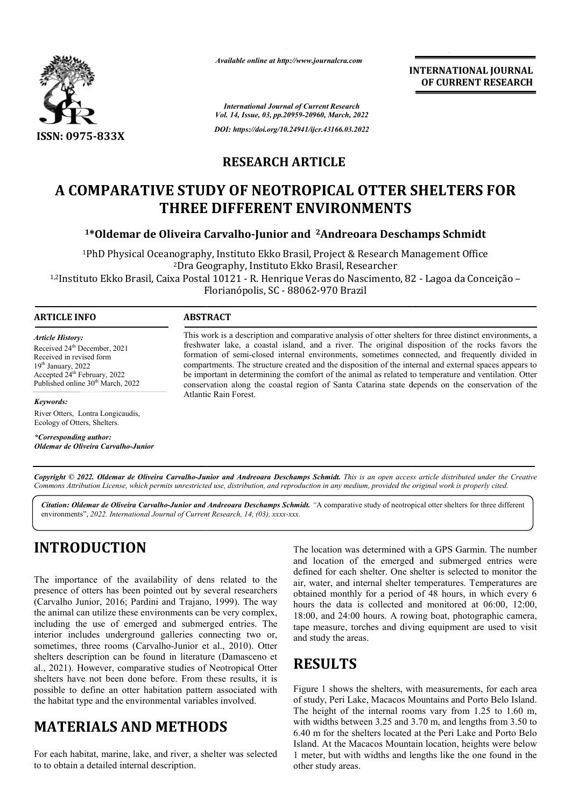

*Available online at http://www.journalcra.com*

*International Journal of Current Research Vol. 14, Issue, 03, pp.20959-20960, March, 2022*

*DOI: https://doi.org/10.24941/ijcr.43166.03.2022*

### **RESEARCH ARTICLE**

# **A COMPARATIVE STUDY OF NEOTROPICAL OTTER SHELTERS FOR THREE DIFFERENT ENVIRONMENTS**

#### <sup>1</sup>\*Oldemar de Oliveira Carvalho-Junior and <sup>2</sup>Andreoara Deschamps Schmidt

1PhD Physical Oceanography, Instituto Ekko Brasil, Project & Research Management Office PhD Dra Ekko Brasil, Researcher <sup>2</sup>Dra Geography, Instituto Ekko Brasil, Researcher <sup>1</sup>PhD Physical Oceanography, Instituto Ekko Brasil, Project & Research Management Office<br>Phya Geography, Instituto Ekko Brasil, Researcher?<br>- <sup>1,2</sup>Instituto Ekko Brasil, Caixa Postal 10121 - R. Henrique Veras do Nasciment Florianópolis, SC - 88062-970 Brazil

#### **ARTICLE INFO ABSTRACT**

#### *Article History:*

Received 24<sup>th</sup> December, 2021 Received in revised form  $19<sup>th</sup>$  January, 2022  $\frac{24}{\text{h}}$  February, 2022 Published online  $30<sup>th</sup>$  March, 2022

#### *Keywords:*

River Otters, Lontra Longicaudis, Ecology of Otters, Shelters.

*\*Corresponding author: Oldemar de Oliveira Carvalho-Junior*

This work is a description and comparative analysis of otter shelters for three distinct environments, a freshwater lake, a coastal island, and a river. The original disposition of the rocks favors the formation of semi-closed internal environments, sometimes connected, and frequently divided in compartments. The structure created and the disposition of the internal and external spaces appears to be important in determining the comfort of the animal as related to temperature and ventilation. Otter conservation along the coastal region of Santa Catarina state depends on the conservation of the Atlantic Rain Forest. This work is a description and comparative analysis of otter shelters for three distinct environments, a freshwater lake, a coastal island, and a river. The original disposition of the rocks favors the formation of semi-cl

Copyright © 2022. Oldemar de Oliveira Carvalho-Junior and Andreoara Deschamps Schmidt. This is an open access article distributed under the Creative Commons Attribution License, which permits unrestricted use, distribution, and reproduction in any medium, provided the original work is properly cited.

Citation: Oldemar de Oliveira Carvalho-Junior and Andreoara Deschamps Schmidt. "A comparative study of neotropical otter shelters for three different environments", *2022. International Journal of Current Research, 14, (03), xxxx-xxx.*

# **INTRODUCTION**

The importance of the availability of dens related to the presence of otters has been pointed out by several researchers (Carvalho Junior, 2016; Pardini and Trajano, 1999). The way the animal can utilize these environments can be very complex, including the use of emerged and submerged entries. The interior includes underground galleries connecting two or, sometimes, three rooms (Carvalho-Junior et al., 2010). Otter shelters description can be found in literature (Damasceno et al., 2021). However, comparative studies of Neotropical Otter shelters have not been done before. From these results, it is possible to define an otter habitation pattern associated with the habitat type and the environmental variables involved.

# **MATERIALS AND METHODS**

For each habitat, marine, lake, and river, a shelter was selected to to obtain a detailed internal description.

**EXECTS**<br> **EXECTS:** The location was determined with a GPS Garmin. The number<br>
of the availability of dens related to the defined for each shelter. One shelter is selected to monitor the<br>
shas been pointed out by several r and location of the emerged and submerged entries were defined for each shelter. One shelter is selected to monitor the air, water, and internal shelter temperatures. Temperatures are obtained monthly for a period of 48 hours, in which every 6 hours the data is collected and monitored at 06:00, 12:00, 18:00, and 24:00 hours. A rowing boat, photographic camera, tape measure, torches and diving equipment are used to visit and study the areas. location was determined with a GPS Garmin. The number<br>location of the emerged and submerged entries were<br>ned for each shelter. One shelter is selected to monitor the water, and internal shelter temperatures. Temperatures are<br>ined monthly for a period of 48 hours, in which every 6<br>rs the data is collected and monitored at 06:00, 12:00,<br>00, and 24:00 hours. A rowing boat, photographic ca

### **RESULTS**

Figure 1 shows the shelters, with measurements, for each area of study, Peri Lake, Macacos Mountains and Porto Belo Island. The height of the internal rooms vary from  $1.25$  to  $1.60$  m, with widths between 3.25 and 3.70 m, and lengths from 3.50 to 6.40 m for the shelters located at the Peri Lake and Porto Belo Island. At the Macacos Mountain location, heights were below 1 meter, but with widths and length 6.40 m for the shelters located at the Peri Lake and Porto Belo Island. At the Macacos Mountain location, heights were below 1 meter, but with widths and lengths like the one found in the other study areas. to measure, torches and diving equipment are used to visit<br>to study the areas.<br>**ESULTS**<br>gure 1 shows the shelters, with measurements, for each area<br>study, Peri Lake, Macacos Mountains and Porto Belo Island.<br>e height of the

**INTERNATIONAL JOURNAL OF CURRENT RESEARCH**